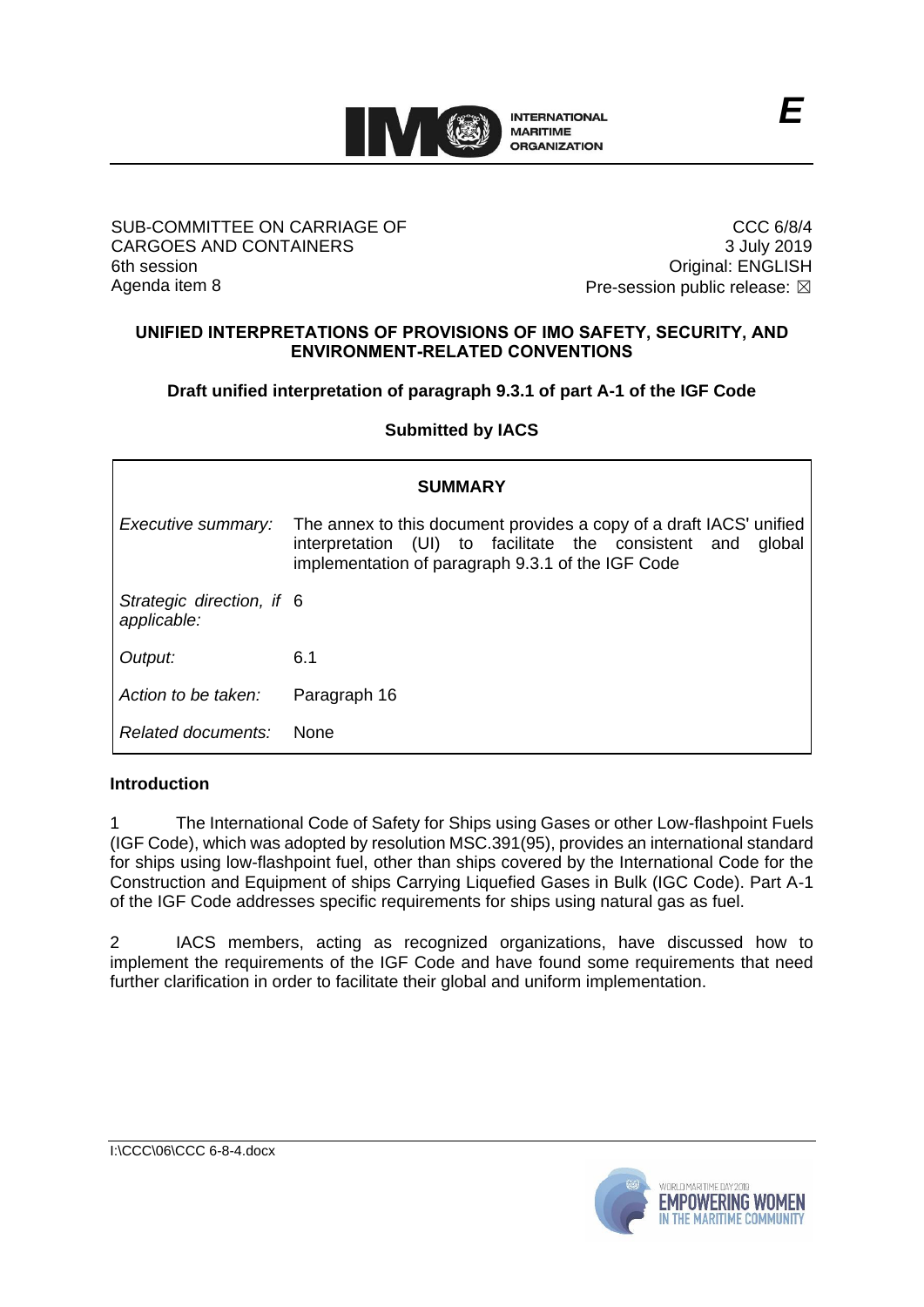

#### SUB-COMMITTEE ON CARRIAGE OF CARGOES AND CONTAINERS 6th session Agenda item 8

CCC 6/8/4 3 July 2019 Original: ENGLISH Pre-session public release:  $\boxtimes$ 

### **UNIFIED INTERPRETATIONS OF PROVISIONS OF IMO SAFETY, SECURITY, AND ENVIRONMENT-RELATED CONVENTIONS**

# **Draft unified interpretation of paragraph 9.3.1 of part A-1 of the IGF Code**

**Submitted by IACS**

| <b>SUMMARY</b>                           |                                                                                                                                                                                               |
|------------------------------------------|-----------------------------------------------------------------------------------------------------------------------------------------------------------------------------------------------|
| Executive summary:                       | The annex to this document provides a copy of a draft IACS' unified<br>interpretation (UI) to facilitate the consistent<br>and<br>global<br>implementation of paragraph 9.3.1 of the IGF Code |
| Strategic direction, if 6<br>applicable: |                                                                                                                                                                                               |
| Output:                                  | 6.1                                                                                                                                                                                           |
| Action to be taken:                      | Paragraph 16                                                                                                                                                                                  |
| Related documents:                       | <b>None</b>                                                                                                                                                                                   |

## **Introduction**

1 The International Code of Safety for Ships using Gases or other Low-flashpoint Fuels (IGF Code), which was adopted by resolution MSC.391(95), provides an international standard for ships using low-flashpoint fuel, other than ships covered by the International Code for the Construction and Equipment of ships Carrying Liquefied Gases in Bulk (IGC Code). Part A-1 of the IGF Code addresses specific requirements for ships using natural gas as fuel.

2 IACS members, acting as recognized organizations, have discussed how to implement the requirements of the IGF Code and have found some requirements that need further clarification in order to facilitate their global and uniform implementation.

I:\CCC\06\CCC 6-8-4.docx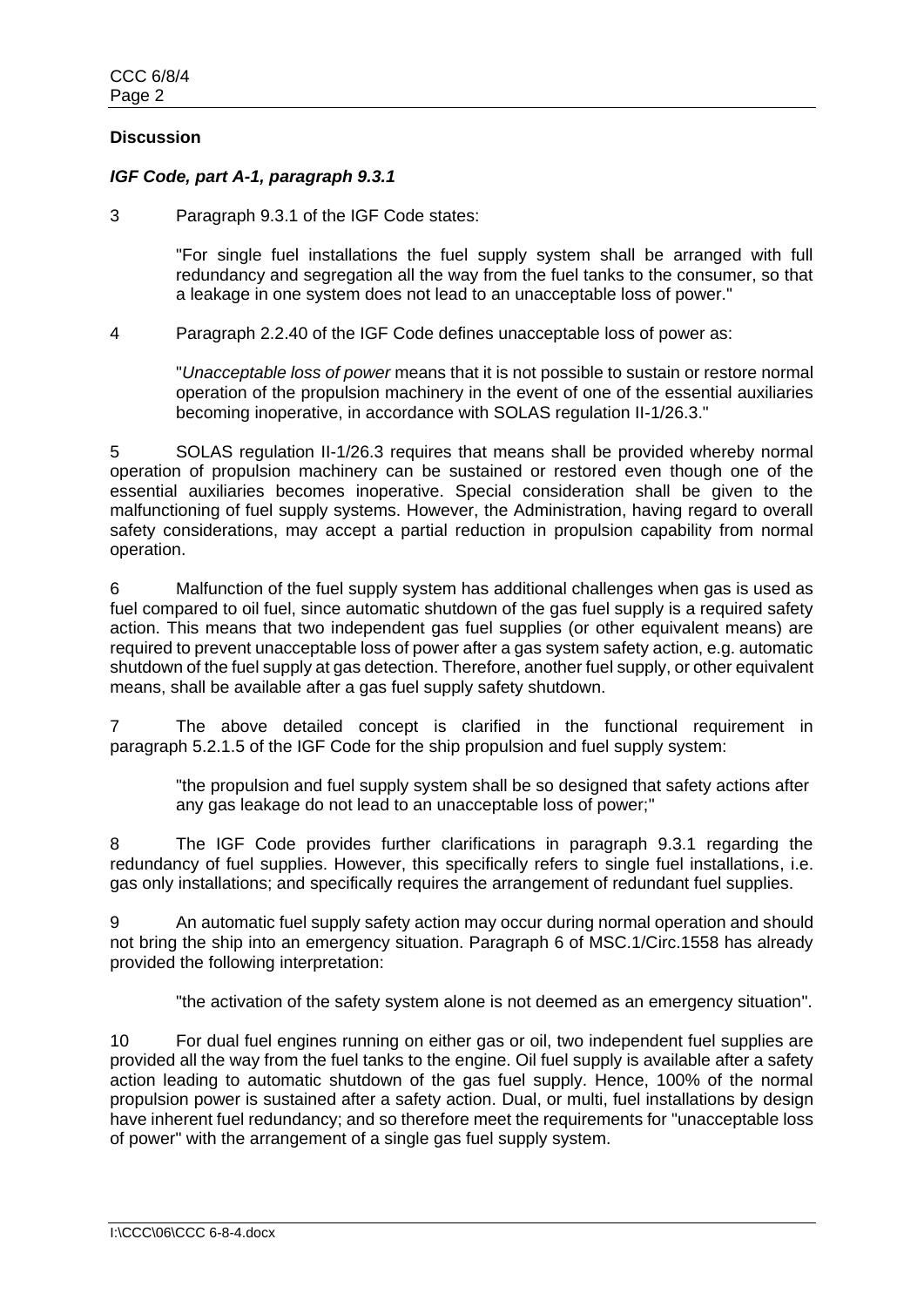# **Discussion**

# *IGF Code, part A-1, paragraph 9.3.1*

3 Paragraph 9.3.1 of the IGF Code states:

"For single fuel installations the fuel supply system shall be arranged with full redundancy and segregation all the way from the fuel tanks to the consumer, so that a leakage in one system does not lead to an unacceptable loss of power."

4 Paragraph 2.2.40 of the IGF Code defines unacceptable loss of power as:

"*Unacceptable loss of power* means that it is not possible to sustain or restore normal operation of the propulsion machinery in the event of one of the essential auxiliaries becoming inoperative, in accordance with SOLAS regulation II-1/26.3."

5 SOLAS regulation II-1/26.3 requires that means shall be provided whereby normal operation of propulsion machinery can be sustained or restored even though one of the essential auxiliaries becomes inoperative. Special consideration shall be given to the malfunctioning of fuel supply systems. However, the Administration, having regard to overall safety considerations, may accept a partial reduction in propulsion capability from normal operation.

6 Malfunction of the fuel supply system has additional challenges when gas is used as fuel compared to oil fuel, since automatic shutdown of the gas fuel supply is a required safety action. This means that two independent gas fuel supplies (or other equivalent means) are required to prevent unacceptable loss of power after a gas system safety action, e.g. automatic shutdown of the fuel supply at gas detection. Therefore, another fuel supply, or other equivalent means, shall be available after a gas fuel supply safety shutdown.

7 The above detailed concept is clarified in the functional requirement in paragraph 5.2.1.5 of the IGF Code for the ship propulsion and fuel supply system:

"the propulsion and fuel supply system shall be so designed that safety actions after any gas leakage do not lead to an unacceptable loss of power;"

The IGF Code provides further clarifications in paragraph 9.3.1 regarding the redundancy of fuel supplies. However, this specifically refers to single fuel installations, i.e. gas only installations; and specifically requires the arrangement of redundant fuel supplies.

9 An automatic fuel supply safety action may occur during normal operation and should not bring the ship into an emergency situation. Paragraph 6 of MSC.1/Circ.1558 has already provided the following interpretation:

"the activation of the safety system alone is not deemed as an emergency situation".

10 For dual fuel engines running on either gas or oil, two independent fuel supplies are provided all the way from the fuel tanks to the engine. Oil fuel supply is available after a safety action leading to automatic shutdown of the gas fuel supply. Hence, 100% of the normal propulsion power is sustained after a safety action. Dual, or multi, fuel installations by design have inherent fuel redundancy; and so therefore meet the requirements for "unacceptable loss of power" with the arrangement of a single gas fuel supply system.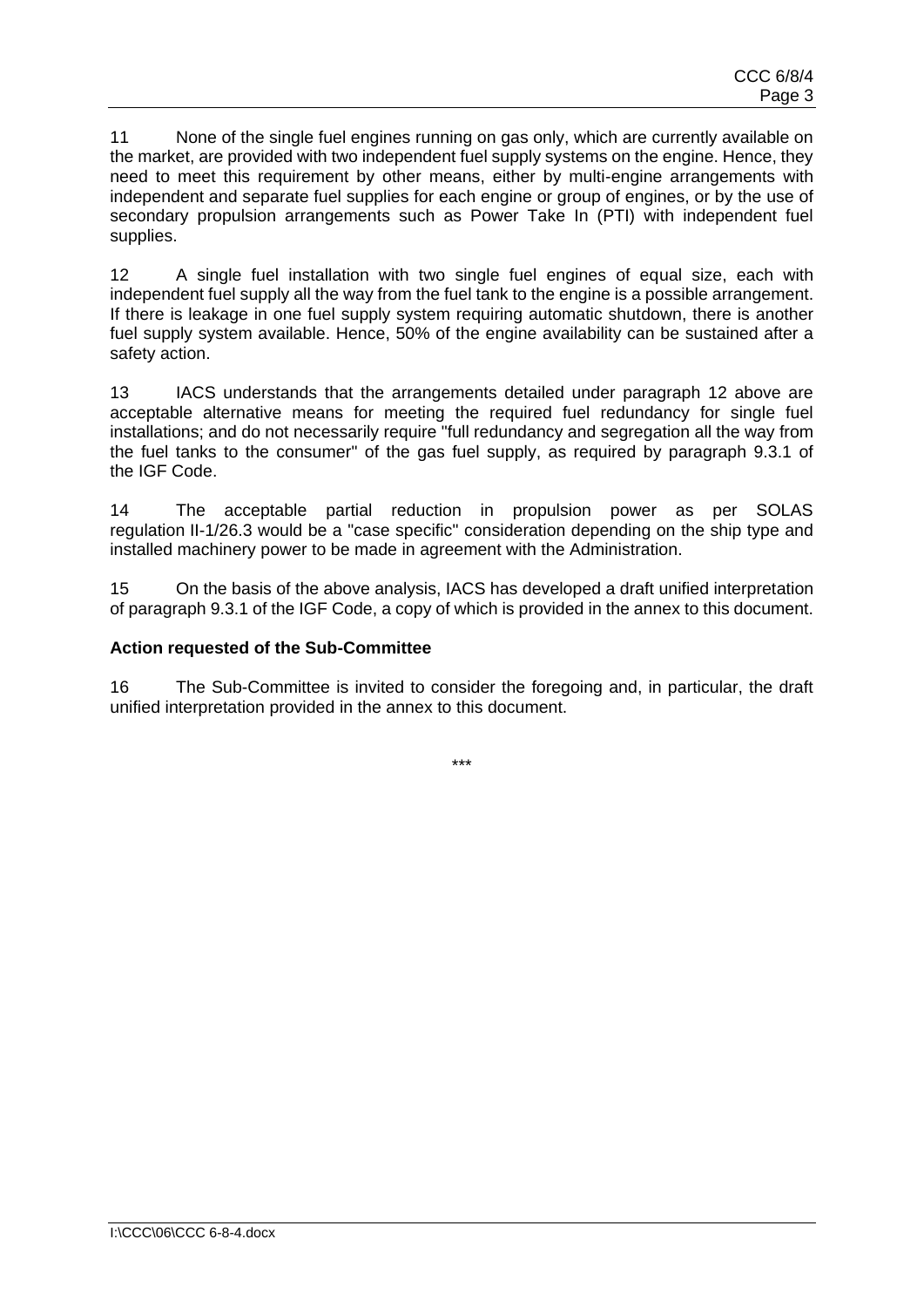11 None of the single fuel engines running on gas only, which are currently available on the market, are provided with two independent fuel supply systems on the engine. Hence, they need to meet this requirement by other means, either by multi-engine arrangements with independent and separate fuel supplies for each engine or group of engines, or by the use of secondary propulsion arrangements such as Power Take In (PTI) with independent fuel supplies.

12 A single fuel installation with two single fuel engines of equal size, each with independent fuel supply all the way from the fuel tank to the engine is a possible arrangement. If there is leakage in one fuel supply system requiring automatic shutdown, there is another fuel supply system available. Hence, 50% of the engine availability can be sustained after a safety action.

13 IACS understands that the arrangements detailed under paragraph 12 above are acceptable alternative means for meeting the required fuel redundancy for single fuel installations; and do not necessarily require "full redundancy and segregation all the way from the fuel tanks to the consumer" of the gas fuel supply, as required by paragraph 9.3.1 of the IGF Code.

14 The acceptable partial reduction in propulsion power as per SOLAS regulation II-1/26.3 would be a "case specific" consideration depending on the ship type and installed machinery power to be made in agreement with the Administration.

15 On the basis of the above analysis, IACS has developed a draft unified interpretation of paragraph 9.3.1 of the IGF Code, a copy of which is provided in the annex to this document.

# **Action requested of the Sub-Committee**

16 The Sub-Committee is invited to consider the foregoing and, in particular, the draft unified interpretation provided in the annex to this document.

\*\*\*